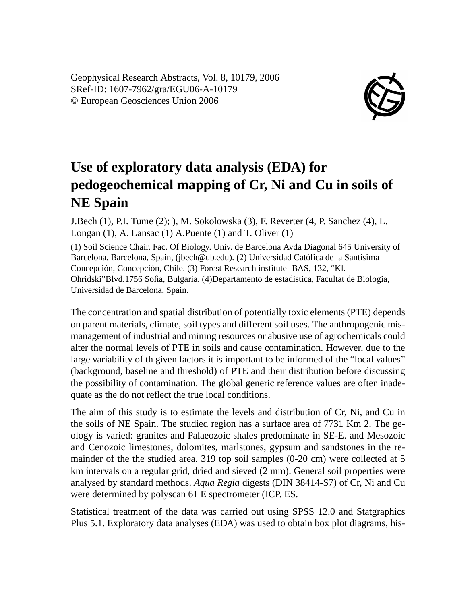Geophysical Research Abstracts, Vol. 8, 10179, 2006 SRef-ID: 1607-7962/gra/EGU06-A-10179 © European Geosciences Union 2006



## **Use of exploratory data analysis (EDA) for pedogeochemical mapping of Cr, Ni and Cu in soils of NE Spain**

J.Bech (1), P.I. Tume (2); ), M. Sokolowska (3), F. Reverter (4, P. Sanchez (4), L. Longan (1), A. Lansac (1) A.Puente (1) and T. Oliver (1)

(1) Soil Science Chair. Fac. Of Biology. Univ. de Barcelona Avda Diagonal 645 University of Barcelona, Barcelona, Spain, (jbech@ub.edu). (2) Universidad Católica de la Santísima Concepción, Concepción, Chile. (3) Forest Research institute- BAS, 132, "Kl. Ohridski"Blvd.1756 Sofia, Bulgaria. (4)Departamento de estadistica, Facultat de Biologia, Universidad de Barcelona, Spain.

The concentration and spatial distribution of potentially toxic elements (PTE) depends on parent materials, climate, soil types and different soil uses. The anthropogenic mismanagement of industrial and mining resources or abusive use of agrochemicals could alter the normal levels of PTE in soils and cause contamination. However, due to the large variability of th given factors it is important to be informed of the "local values" (background, baseline and threshold) of PTE and their distribution before discussing the possibility of contamination. The global generic reference values are often inadequate as the do not reflect the true local conditions.

The aim of this study is to estimate the levels and distribution of Cr, Ni, and Cu in the soils of NE Spain. The studied region has a surface area of 7731 Km 2. The geology is varied: granites and Palaeozoic shales predominate in SE-E. and Mesozoic and Cenozoic limestones, dolomites, marlstones, gypsum and sandstones in the remainder of the the studied area. 319 top soil samples (0-20 cm) were collected at 5 km intervals on a regular grid, dried and sieved (2 mm). General soil properties were analysed by standard methods. *Aqua Regia* digests (DIN 38414-S7) of Cr, Ni and Cu were determined by polyscan 61 E spectrometer (ICP. ES.

Statistical treatment of the data was carried out using SPSS 12.0 and Statgraphics Plus 5.1. Exploratory data analyses (EDA) was used to obtain box plot diagrams, his